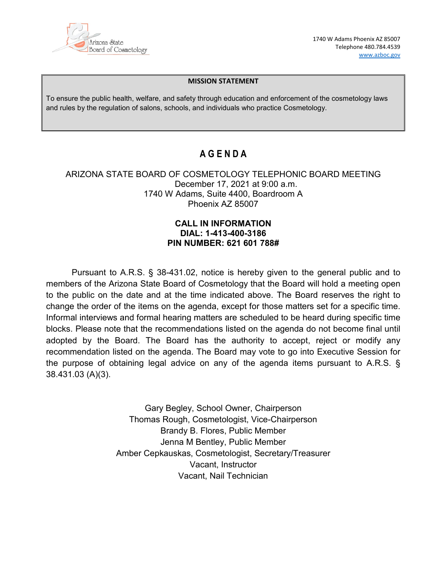

1740 W Adams Phoenix AZ 85007 Telephone 480.784.4539 [www.azboc.gov](http://www.azboc.gov/)

#### **MISSION STATEMENT**

To ensure the public health, welfare, and safety through education and enforcement of the cosmetology laws and rules by the regulation of salons, schools, and individuals who practice Cosmetology.

## **A G E N D A**

### ARIZONA STATE BOARD OF COSMETOLOGY TELEPHONIC BOARD MEETING December 17, 2021 at 9:00 a.m. 1740 W Adams, Suite 4400, Boardroom A Phoenix AZ 85007

### **CALL IN INFORMATION DIAL: 1-413-400-3186 PIN NUMBER: 621 601 788#**

Pursuant to A.R.S. § 38-431.02, notice is hereby given to the general public and to members of the Arizona State Board of Cosmetology that the Board will hold a meeting open to the public on the date and at the time indicated above. The Board reserves the right to change the order of the items on the agenda, except for those matters set for a specific time. Informal interviews and formal hearing matters are scheduled to be heard during specific time blocks. Please note that the recommendations listed on the agenda do not become final until adopted by the Board. The Board has the authority to accept, reject or modify any recommendation listed on the agenda. The Board may vote to go into Executive Session for the purpose of obtaining legal advice on any of the agenda items pursuant to A.R.S. § 38.431.03 (A)(3).

> Gary Begley, School Owner, Chairperson Thomas Rough, Cosmetologist, Vice-Chairperson Brandy B. Flores, Public Member Jenna M Bentley, Public Member Amber Cepkauskas, Cosmetologist, Secretary/Treasurer Vacant, Instructor Vacant, Nail Technician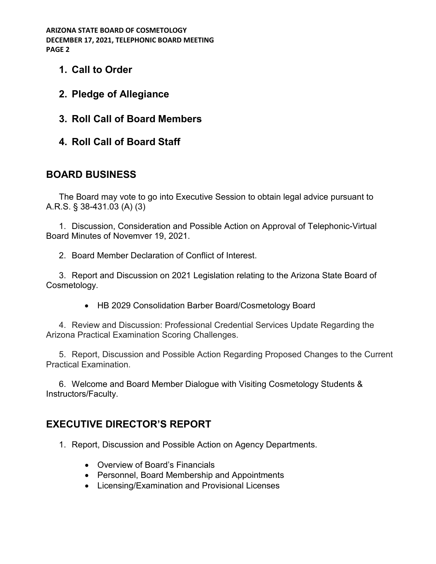- **1. Call to Order**
- **2. Pledge of Allegiance**
- **3. Roll Call of Board Members**
- **4. Roll Call of Board Staff**

# **BOARD BUSINESS**

The Board may vote to go into Executive Session to obtain legal advice pursuant to A.R.S. § 38-431.03 (A) (3)

1. Discussion, Consideration and Possible Action on Approval of Telephonic-Virtual Board Minutes of Novemver 19, 2021.

2. Board Member Declaration of Conflict of Interest.

3. Report and Discussion on 2021 Legislation relating to the Arizona State Board of Cosmetology.

• HB 2029 Consolidation Barber Board/Cosmetology Board

4. Review and Discussion: Professional Credential Services Update Regarding the Arizona Practical Examination Scoring Challenges.

5. Report, Discussion and Possible Action Regarding Proposed Changes to the Current Practical Examination.

6. Welcome and Board Member Dialogue with Visiting Cosmetology Students & Instructors/Faculty.

# **EXECUTIVE DIRECTOR'S REPORT**

- 1. Report, Discussion and Possible Action on Agency Departments.
	- Overview of Board's Financials
	- Personnel, Board Membership and Appointments
	- Licensing/Examination and Provisional Licenses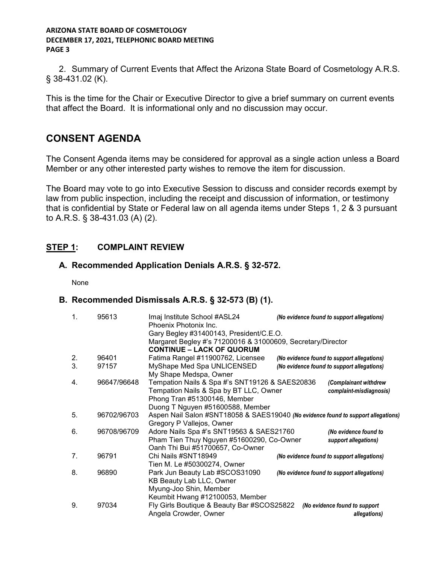2. Summary of Current Events that Affect the Arizona State Board of Cosmetology A.R.S. § 38-431.02 (K).

This is the time for the Chair or Executive Director to give a brief summary on current events that affect the Board. It is informational only and no discussion may occur.

# **CONSENT AGENDA**

The Consent Agenda items may be considered for approval as a single action unless a Board Member or any other interested party wishes to remove the item for discussion.

The Board may vote to go into Executive Session to discuss and consider records exempt by law from public inspection, including the receipt and discussion of information, or testimony that is confidential by State or Federal law on all agenda items under Steps 1, 2 & 3 pursuant to A.R.S. § 38-431.03 (A) (2).

### **STEP 1: COMPLAINT REVIEW**

### **A. Recommended Application Denials A.R.S. § 32-572.**

None

### **B. Recommended Dismissals A.R.S. § 32-573 (B) (1).**

| $\mathbf{1}$ . | 95613       | Imaj Institute School #ASL24<br>Phoenix Photonix Inc.                             | (No evidence found to support allegations) |
|----------------|-------------|-----------------------------------------------------------------------------------|--------------------------------------------|
|                |             | Gary Begley #31400143, President/C.E.O.                                           |                                            |
|                |             | Margaret Begley #'s 71200016 & 31000609, Secretary/Director                       |                                            |
|                |             | <b>CONTINUE - LACK OF QUORUM</b>                                                  |                                            |
| 2.             | 96401       | Fatima Rangel #11900762, Licensee                                                 | (No evidence found to support allegations) |
| 3.             | 97157       | MyShape Med Spa UNLICENSED                                                        | (No evidence found to support allegations) |
|                |             | My Shape Medspa, Owner                                                            |                                            |
| 4.             | 96647/96648 | Tempation Nails & Spa #'s SNT19126 & SAES20836                                    | (Complainant withdrew                      |
|                |             | Tempation Nails & Spa by BT LLC, Owner                                            | complaint-misdiagnosis)                    |
|                |             | Phong Tran #51300146, Member                                                      |                                            |
|                |             | Duong T Nguyen #51600588, Member                                                  |                                            |
| 5.             | 96702/96703 | Aspen Nail Salon #SNT18058 & SAES19040 (No evidence found to support allegations) |                                            |
|                |             | Gregory P Vallejos, Owner                                                         |                                            |
| 6.             | 96708/96709 | Adore Nails Spa #'s SNT19563 & SAES21760                                          | (No evidence found to                      |
|                |             | Pham Tien Thuy Nguyen #51600290, Co-Owner                                         | support allegations)                       |
|                |             | Oanh Thi Bui #51700657, Co-Owner                                                  |                                            |
| 7.             | 96791       | Chi Nails #SNT18949                                                               | (No evidence found to support allegations) |
|                |             | Tien M. Le #50300274, Owner                                                       |                                            |
| 8.             | 96890       | Park Jun Beauty Lab #SCOS31090                                                    | (No evidence found to support allegations) |
|                |             | KB Beauty Lab LLC, Owner                                                          |                                            |
|                |             | Myung-Joo Shin, Member                                                            |                                            |
|                |             | Keumbit Hwang #12100053, Member                                                   |                                            |
| 9.             | 97034       | Fly Girls Boutique & Beauty Bar #SCOS25822                                        | (No evidence found to support              |
|                |             | Angela Crowder, Owner                                                             | allegations)                               |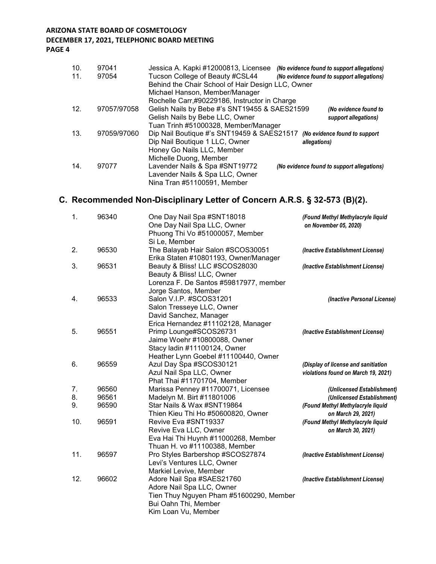#### **DECEMBER 17, 2021, TELEPHONIC BOARD MEETING**

**PAGE 4**

| 10.<br>11. | 97041<br>97054 | Jessica A. Kapki #12000813, Licensee<br>Tucson College of Beauty #CSL44<br>Behind the Chair School of Hair Design LLC, Owner | (No evidence found to support allegations)<br>(No evidence found to support allegations) |
|------------|----------------|------------------------------------------------------------------------------------------------------------------------------|------------------------------------------------------------------------------------------|
|            |                | Michael Hanson, Member/Manager<br>Rochelle Carr,#90229186, Instructor in Charge                                              |                                                                                          |
| 12.        | 97057/97058    | Gelish Nails by Bebe #'s SNT19455 & SAES21599<br>Gelish Nails by Bebe LLC, Owner                                             | (No evidence found to<br>support allegations)                                            |
|            |                | Tuan Trinh #51000328, Member/Manager                                                                                         |                                                                                          |
| 13.        | 97059/97060    | Dip Nail Boutique #'s SNT19459 & SAES21517 (No evidence found to support<br>Dip Nail Boutique 1 LLC, Owner                   | allegations)                                                                             |
|            |                | Honey Go Nails LLC, Member<br>Michelle Duong, Member                                                                         |                                                                                          |
| 14.        | 97077          | Lavender Nails & Spa #SNT19772<br>Lavender Nails & Spa LLC, Owner<br>Nina Tran #51100591, Member                             | (No evidence found to support allegations)                                               |

# **C. Recommended Non-Disciplinary Letter of Concern A.R.S. § 32-573 (B)(2).**

| 1.  | 96340 | One Day Nail Spa #SNT18018<br>One Day Nail Spa LLC, Owner                  | (Found Methyl Methylacryle liquid<br>on November 05, 2020) |
|-----|-------|----------------------------------------------------------------------------|------------------------------------------------------------|
|     |       | Phuong Thi Vo #51000057, Member<br>Si Le, Member                           |                                                            |
| 2.  | 96530 | The Balayab Hair Salon #SCOS30051<br>Erika Staten #10801193, Owner/Manager | (Inactive Establishment License)                           |
| 3.  | 96531 | Beauty & Bliss! LLC #SCOS28030                                             | (Inactive Establishment License)                           |
|     |       | Beauty & Bliss! LLC, Owner                                                 |                                                            |
|     |       | Lorenza F. De Santos #59817977, member                                     |                                                            |
|     |       | Jorge Santos, Member                                                       |                                                            |
| 4.  | 96533 | Salon V.I.P. #SCOS31201                                                    | (Inactive Personal License)                                |
|     |       | Salon Tresseye LLC, Owner                                                  |                                                            |
|     |       | David Sanchez, Manager                                                     |                                                            |
|     |       | Erica Hernandez #11102128, Manager                                         |                                                            |
| 5.  | 96551 | Primp Lounge#SCOS26731                                                     | (Inactive Establishment License)                           |
|     |       | Jaime Woehr #10800088, Owner                                               |                                                            |
|     |       | Stacy ladin #11100124, Owner                                               |                                                            |
|     |       | Heather Lynn Goebel #11100440, Owner                                       |                                                            |
| 6.  | 96559 | Azul Day Spa #SCOS30121                                                    | (Display of license and sanitiation                        |
|     |       | Azul Nail Spa LLC, Owner                                                   | violations found on March 19, 2021)                        |
|     |       | Phat Thai #11701704, Member                                                |                                                            |
| 7.  | 96560 | Marissa Penney #11700071, Licensee                                         | (Unlicensed Establishment)                                 |
| 8.  | 96561 | Madelyn M. Birt #11801006                                                  | (Unlicensed Establishment)                                 |
| 9.  | 96590 | Star Nails & Wax #SNT19864                                                 | (Found Methyl Methylacryle liquid                          |
|     |       | Thien Kieu Thi Ho #50600820, Owner                                         | on March 29, 2021)                                         |
| 10. | 96591 | Revive Eva #SNT19337                                                       | (Found Methyl Methylacryle liquid                          |
|     |       | Revive Eva LLC, Owner                                                      | on March 30, 2021)                                         |
|     |       | Eva Hai Thi Huynh #11000268, Member<br>Thuan H. vo #11100388, Member       |                                                            |
| 11. | 96597 |                                                                            |                                                            |
|     |       | Pro Styles Barbershop #SCOS27874<br>Levi's Ventures LLC, Owner             | (Inactive Establishment License)                           |
|     |       |                                                                            |                                                            |
| 12. | 96602 | Markiel Levive, Member                                                     |                                                            |
|     |       | Adore Nail Spa #SAES21760<br>Adore Nail Spa LLC, Owner                     | (Inactive Establishment License)                           |
|     |       |                                                                            |                                                            |
|     |       | Tien Thuy Nguyen Pham #51600290, Member<br>Bui Oahn Thi, Member            |                                                            |
|     |       | Kim Loan Vu, Member                                                        |                                                            |
|     |       |                                                                            |                                                            |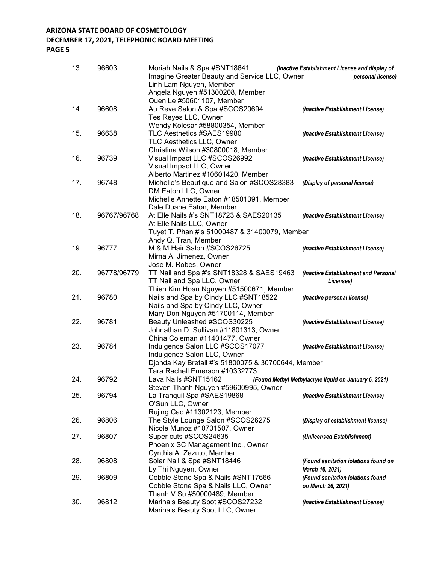### **DECEMBER 17, 2021, TELEPHONIC BOARD MEETING**

**PAGE 5**

| 13. | 96603       | Moriah Nails & Spa #SNT18641<br>Imagine Greater Beauty and Service LLC, Owner<br>Linh Lam Nguyen, Member | (Inactive Establishment License and display of<br>personal license) |
|-----|-------------|----------------------------------------------------------------------------------------------------------|---------------------------------------------------------------------|
|     |             | Angela Nguyen #51300208, Member                                                                          |                                                                     |
|     |             | Quen Le #50601107, Member                                                                                |                                                                     |
| 14. | 96608       | Au Reve Salon & Spa #SCOS20694                                                                           | (Inactive Establishment License)                                    |
|     |             | Tes Reyes LLC, Owner                                                                                     |                                                                     |
|     |             | Wendy Kolesar #58800354, Member                                                                          |                                                                     |
| 15. | 96638       | TLC Aesthetics #SAES19980<br>TLC Aesthetics LLC, Owner                                                   | (Inactive Establishment License)                                    |
|     |             | Christina Wilson #30800018, Member                                                                       |                                                                     |
| 16. | 96739       | Visual Impact LLC #SCOS26992                                                                             | (Inactive Establishment License)                                    |
|     |             | Visual Impact LLC, Owner                                                                                 |                                                                     |
|     |             | Alberto Martinez #10601420, Member                                                                       |                                                                     |
| 17. | 96748       | Michelle's Beautique and Salon #SCOS28383                                                                | (Display of personal license)                                       |
|     |             | DM Eaton LLC, Owner                                                                                      |                                                                     |
|     |             | Michelle Annette Eaton #18501391, Member                                                                 |                                                                     |
|     |             | Dale Duane Eaton, Member                                                                                 |                                                                     |
| 18. | 96767/96768 | At Elle Nails #'s SNT18723 & SAES20135                                                                   | (Inactive Establishment License)                                    |
|     |             | At Elle Nails LLC, Owner                                                                                 |                                                                     |
|     |             | Tuyet T. Phan #'s 51000487 & 31400079, Member<br>Andy Q. Tran, Member                                    |                                                                     |
| 19. | 96777       | M & M Hair Salon #SCOS26725                                                                              | (Inactive Establishment License)                                    |
|     |             | Mirna A. Jimenez, Owner                                                                                  |                                                                     |
|     |             | Jose M. Robes, Owner                                                                                     |                                                                     |
| 20. | 96778/96779 | TT Nail and Spa #'s SNT18328 & SAES19463                                                                 | (Inactive Establishment and Personal                                |
|     |             | TT Nail and Spa LLC, Owner                                                                               | Licenses)                                                           |
|     |             | Thien Kim Hoan Nguyen #51500671, Member                                                                  |                                                                     |
| 21. | 96780       | Nails and Spa by Cindy LLC #SNT18522                                                                     | (Inactive personal license)                                         |
|     |             | Nails and Spa by Cindy LLC, Owner                                                                        |                                                                     |
|     |             | Mary Don Nguyen #51700114, Member                                                                        |                                                                     |
| 22. | 96781       | Beauty Unleashed #SCOS30225                                                                              | (Inactive Establishment License)                                    |
|     |             | Johnathan D. Sullivan #11801313, Owner<br>China Coleman #11401477, Owner                                 |                                                                     |
| 23. | 96784       | Indulgence Salon LLC #SCOS17077                                                                          | (Inactive Establishment License)                                    |
|     |             | Indulgence Salon LLC, Owner                                                                              |                                                                     |
|     |             | Djonda Kay Bretall #'s 51800075 & 30700644, Member                                                       |                                                                     |
|     |             | Tara Rachell Emerson #10332773                                                                           |                                                                     |
| 24. | 96792       | Lava Nails #SNT15162                                                                                     | (Found Methyl Methylacryle liquid on January 6, 2021)               |
|     |             | Steven Thanh Nguyen #59600995, Owner                                                                     |                                                                     |
| 25. | 96794       | La Tranquil Spa #SAES19868                                                                               | (Inactive Establishment License)                                    |
|     |             | O'Sun LLC, Owner                                                                                         |                                                                     |
|     |             | Rujing Cao #11302123, Member<br>The Style Lounge Salon #SCOS26275                                        |                                                                     |
| 26. | 96806       | Nicole Munoz #10701507, Owner                                                                            | (Display of establishment license)                                  |
| 27. | 96807       | Super cuts #SCOS24635                                                                                    | (Unlicensed Establishment)                                          |
|     |             | Phoenix SC Management Inc., Owner                                                                        |                                                                     |
|     |             | Cynthia A. Zezuto, Member                                                                                |                                                                     |
| 28. | 96808       | Solar Nail & Spa #SNT18446                                                                               | (Found sanitation iolations found on                                |
|     |             | Ly Thi Nguyen, Owner                                                                                     | March 16, 2021)                                                     |
| 29. | 96809       | Cobble Stone Spa & Nails #SNT17666                                                                       | (Found sanitation iolations found                                   |
|     |             | Cobble Stone Spa & Nails LLC, Owner                                                                      | on March 26, 2021)                                                  |
|     |             | Thanh V Su #50000489, Member                                                                             |                                                                     |
| 30. | 96812       | Marina's Beauty Spot #SCOS27232                                                                          | (Inactive Establishment License)                                    |
|     |             | Marina's Beauty Spot LLC, Owner                                                                          |                                                                     |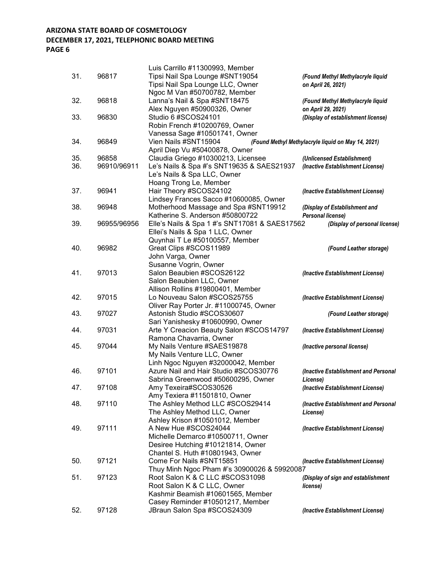### **DECEMBER 17, 2021, TELEPHONIC BOARD MEETING**

|     |             | Luis Carrillo #11300993, Member                                             |                                                    |
|-----|-------------|-----------------------------------------------------------------------------|----------------------------------------------------|
| 31. | 96817       | Tipsi Nail Spa Lounge #SNT19054                                             | (Found Methyl Methylacryle liquid                  |
|     |             | Tipsi Nail Spa Lounge LLC, Owner                                            | on April 26, 2021)                                 |
|     |             | Ngoc M Van #50700782, Member                                                |                                                    |
| 32. | 96818       | Lanna's Nail & Spa #SNT18475                                                | (Found Methyl Methylacryle liquid                  |
|     |             | Alex Nguyen #50900326, Owner                                                | on April 29, 2021)                                 |
| 33. | 96830       | Studio 6 #SCOS24101                                                         | (Display of establishment license)                 |
|     |             | Robin French #10200769, Owner                                               |                                                    |
|     |             | Vanessa Sage #10501741, Owner                                               |                                                    |
| 34. | 96849       | Vien Nails #SNT15904                                                        | (Found Methyl Methylacryle liquid on May 14, 2021) |
|     |             | April Diep Vu #50400878, Owner                                              |                                                    |
| 35. | 96858       | Claudia Griego #10300213, Licensee                                          | (Unlicensed Establishment)                         |
| 36. | 96910/96911 | Le's Nails & Spa #'s SNT19635 & SAES21937                                   | (Inactive Establishment License)                   |
|     |             | Le's Nails & Spa LLC, Owner                                                 |                                                    |
|     |             | Hoang Trong Le, Member                                                      |                                                    |
| 37. | 96941       | Hair Theory #SCOS24102                                                      | (Inactive Establishment License)                   |
|     |             | Lindsey Frances Sacco #10600085, Owner                                      |                                                    |
| 38. | 96948       | Motherhood Massage and Spa #SNT19912                                        | (Display of Establishment and                      |
|     |             | Katherine S. Anderson #50800722                                             | Personal license)                                  |
| 39. | 96955/96956 | Elle's Nails & Spa 1 #'s SNT17081 & SAES17562                               | (Display of personal license)                      |
|     |             | Ellei's Nails & Spa 1 LLC, Owner                                            |                                                    |
|     |             | Quynhai T Le #50100557, Member                                              |                                                    |
| 40. | 96982       | Great Clips #SCOS11989                                                      | (Found Leather storage)                            |
|     |             | John Varga, Owner                                                           |                                                    |
|     |             | Susanne Vogrin, Owner                                                       |                                                    |
| 41. | 97013       | Salon Beaubien #SCOS26122                                                   |                                                    |
|     |             | Salon Beaubien LLC, Owner                                                   | (Inactive Establishment License)                   |
|     |             | Allison Rollins #19800401, Member                                           |                                                    |
| 42. | 97015       | Lo Nouveau Salon #SCOS25755                                                 |                                                    |
|     |             | Oliver Ray Porter Jr. #11000745, Owner                                      | (Inactive Establishment License)                   |
| 43. | 97027       | Astonish Studio #SCOS30607                                                  |                                                    |
|     |             |                                                                             | (Found Leather storage)                            |
| 44. | 97031       | Sari Yanishesky #10600990, Owner<br>Arte Y Creacion Beauty Salon #SCOS14797 |                                                    |
|     |             | Ramona Chavarria, Owner                                                     | (Inactive Establishment License)                   |
| 45. | 97044       | My Nails Venture #SAES19878                                                 |                                                    |
|     |             | My Nails Venture LLC, Owner                                                 | (Inactive personal license)                        |
|     |             | Linh Ngoc Nguyen #32000042, Member                                          |                                                    |
| 46. | 97101       | Azure Nail and Hair Studio #SCOS30776                                       |                                                    |
|     |             | Sabrina Greenwood #50600295, Owner                                          | (Inactive Establishment and Personal               |
| 47. | 97108       | Amy Texeira#SCOS30526                                                       | License)                                           |
|     |             | Amy Texiera #11501810, Owner                                                | (Inactive Establishment License)                   |
| 48. | 97110       | The Ashley Method LLC #SCOS29414                                            | (Inactive Establishment and Personal               |
|     |             | The Ashley Method LLC, Owner                                                |                                                    |
|     |             | Ashley Krison #10501012, Member                                             | License)                                           |
|     | 97111       | A New Hue #SCOS24044                                                        |                                                    |
| 49. |             | Michelle Demarco #10500711, Owner                                           | (Inactive Establishment License)                   |
|     |             |                                                                             |                                                    |
|     |             | Desiree Hutching #10121814, Owner                                           |                                                    |
|     |             | Chantel S. Huth #10801943, Owner<br>Come For Nails #SNT15851                |                                                    |
| 50. | 97121       |                                                                             | (Inactive Establishment License)                   |
|     |             | Thuy Minh Ngoc Pham #'s 30900026 & 59920087                                 |                                                    |
| 51. | 97123       | Root Salon K & C LLC #SCOS31098                                             | (Display of sign and establishment                 |
|     |             | Root Salon K & C LLC, Owner                                                 | license)                                           |
|     |             | Kashmir Beamish #10601565, Member                                           |                                                    |
|     |             | Casey Reminder #10501217, Member                                            |                                                    |
| 52. | 97128       | JBraun Salon Spa #SCOS24309                                                 | (Inactive Establishment License)                   |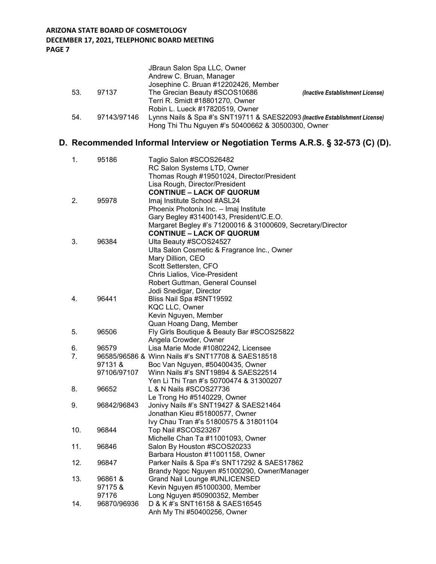|     |             | JBraun Salon Spa LLC, Owner<br>Andrew C. Bruan, Manager                     |                                  |
|-----|-------------|-----------------------------------------------------------------------------|----------------------------------|
|     |             | Josephine C. Bruan #12202426, Member                                        |                                  |
| 53. | 97137       | The Grecian Beauty #SCOS10686                                               | (Inactive Establishment License) |
|     |             | Terri R. Smidt #18801270, Owner                                             |                                  |
|     |             | Robin L. Lueck #17820519, Owner                                             |                                  |
| 54. | 97143/97146 | Lynns Nails & Spa #'s SNT19711 & SAES22093 (Inactive Establishment License) |                                  |
|     |             | Hong Thi Thu Nguyen #'s 50400662 & 30500300, Owner                          |                                  |

# **D. Recommended Informal Interview or Negotiation Terms A.R.S. § 32-573 (C) (D).**

| 1.  | 95186       | Taglio Salon #SCOS26482                                     |
|-----|-------------|-------------------------------------------------------------|
|     |             | RC Salon Systems LTD, Owner                                 |
|     |             | Thomas Rough #19501024, Director/President                  |
|     |             | Lisa Rough, Director/President                              |
|     |             | <b>CONTINUE - LACK OF QUORUM</b>                            |
| 2.  | 95978       | Imaj Institute School #ASL24                                |
|     |             | Phoenix Photonix Inc. - Imaj Institute                      |
|     |             | Gary Begley #31400143, President/C.E.O.                     |
|     |             | Margaret Begley #'s 71200016 & 31000609, Secretary/Director |
|     |             | <b>CONTINUE - LACK OF QUORUM</b>                            |
| 3.  | 96384       | Ulta Beauty #SCOS24527                                      |
|     |             | Ulta Salon Cosmetic & Fragrance Inc., Owner                 |
|     |             | Mary Dillion, CEO                                           |
|     |             | Scott Settersten, CFO                                       |
|     |             | Chris Lialios, Vice-President                               |
|     |             | Robert Guttman, General Counsel                             |
|     |             | Jodi Snedigar, Director                                     |
| 4.  | 96441       | Bliss Nail Spa #SNT19592                                    |
|     |             | <b>KQC LLC, Owner</b>                                       |
|     |             | Kevin Nguyen, Member                                        |
|     |             | Quan Hoang Dang, Member                                     |
| 5.  | 96506       | Fly Girls Boutique & Beauty Bar #SCOS25822                  |
|     |             | Angela Crowder, Owner                                       |
| 6.  | 96579       | Lisa Marie Mode #10802242, Licensee                         |
| 7.  |             | 96585/96586 & Winn Nails #'s SNT17708 & SAES18518           |
|     | 97131&      | Boc Van Nguyen, #50400435, Owner                            |
|     | 97106/97107 | Winn Nails #'s SNT19894 & SAES22514                         |
|     |             | Yen Li Thi Tran #'s 50700474 & 31300207                     |
| 8.  | 96652       | L & N Nails #SCOS27736                                      |
|     |             | Le Trong Ho #5140229, Owner                                 |
| 9.  | 96842/96843 | Jonivy Nails #'s SNT19427 & SAES21464                       |
|     |             | Jonathan Kieu #51800577, Owner                              |
|     |             | Ivy Chau Tran #'s 51800575 & 31801104                       |
| 10. | 96844       | Top Nail #SCOS23267                                         |
|     |             | Michelle Chan Ta #11001093, Owner                           |
| 11. | 96846       | Salon By Houston #SCOS20233                                 |
|     |             | Barbara Houston #11001158, Owner                            |
| 12. | 96847       | Parker Nails & Spa #'s SNT17292 & SAES17862                 |
|     |             | Brandy Ngoc Nguyen #51000290, Owner/Manager                 |
| 13. | 96861&      | Grand Nail Lounge #UNLICENSED                               |
|     | 97175&      | Kevin Nguyen #51000300, Member                              |
|     | 97176       | Long Nguyen #50900352, Member                               |
| 14. | 96870/96936 | D & K #'s SNT16158 & SAES16545                              |
|     |             | Anh My Thi #50400256, Owner                                 |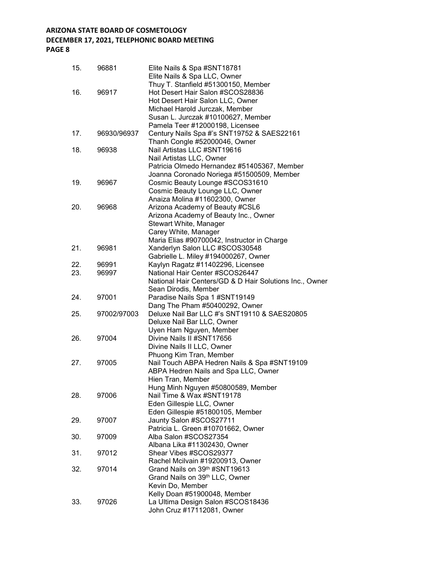# **DECEMBER 17, 2021, TELEPHONIC BOARD MEETING**

| 15. | 96881       | Elite Nails & Spa #SNT18781<br>Elite Nails & Spa LLC, Owner                                                                                                                         |
|-----|-------------|-------------------------------------------------------------------------------------------------------------------------------------------------------------------------------------|
| 16. | 96917       | Thuy T. Stanfield #51300150, Member<br>Hot Desert Hair Salon #SCOS28836<br>Hot Desert Hair Salon LLC, Owner<br>Michael Harold Jurczak, Member<br>Susan L. Jurczak #10100627, Member |
| 17. | 96930/96937 | Pamela Teer #12000198, Licensee<br>Century Nails Spa #'s SNT19752 & SAES22161<br>Thanh Congle #52000046, Owner                                                                      |
| 18. | 96938       | Nail Artistas LLC #SNT19616<br>Nail Artistas LLC, Owner<br>Patricia Olmedo Hernandez #51405367, Member<br>Joanna Coronado Noriega #51500509, Member                                 |
| 19. | 96967       | Cosmic Beauty Lounge #SCOS31610<br>Cosmic Beauty Lounge LLC, Owner<br>Anaiza Molina #11602300, Owner                                                                                |
| 20. | 96968       | Arizona Academy of Beauty #CSL6<br>Arizona Academy of Beauty Inc., Owner<br>Stewart White, Manager<br>Carey White, Manager<br>Maria Elias #90700042, Instructor in Charge           |
| 21. | 96981       | Xanderlyn Salon LLC #SCOS30548<br>Gabrielle L. Miley #194000267, Owner                                                                                                              |
| 22. | 96991       | Kaylyn Ragatz #11402296, Licensee                                                                                                                                                   |
| 23. | 96997       | National Hair Center #SCOS26447<br>National Hair Centers/GD & D Hair Solutions Inc., Owner<br>Sean Dirodis, Member                                                                  |
| 24. | 97001       | Paradise Nails Spa 1 #SNT19149<br>Dang The Pham #50400292, Owner                                                                                                                    |
| 25. | 97002/97003 | Deluxe Nail Bar LLC #'s SNT19110 & SAES20805<br>Deluxe Nail Bar LLC, Owner<br>Uyen Ham Nguyen, Member                                                                               |
| 26. | 97004       | Divine Nails II #SNT17656<br>Divine Nails II LLC, Owner<br>Phuong Kim Tran, Member                                                                                                  |
| 27. | 97005       | Nail Touch ABPA Hedren Nails & Spa #SNT19109<br>ABPA Hedren Nails and Spa LLC, Owner<br>Hien Tran, Member                                                                           |
| 28. | 97006       | Hung Minh Nguyen #50800589, Member<br>Nail Time & Wax #SNT19178<br>Eden Gillespie LLC, Owner                                                                                        |
| 29. | 97007       | Eden Gillespie #51800105, Member<br>Jaunty Salon #SCOS27711<br>Patricia L. Green #10701662, Owner                                                                                   |
| 30. | 97009       | Alba Salon #SCOS27354<br>Albana Lika #11302430, Owner                                                                                                                               |
| 31. | 97012       | Shear Vibes #SCOS29377<br>Rachel Mcilvain #19200913, Owner                                                                                                                          |
| 32. | 97014       | Grand Nails on 39th #SNT19613<br>Grand Nails on 39th LLC, Owner<br>Kevin Do, Member                                                                                                 |
| 33. | 97026       | Kelly Doan #51900048, Member<br>La Ultima Design Salon #SCOS18436<br>John Cruz #17112081, Owner                                                                                     |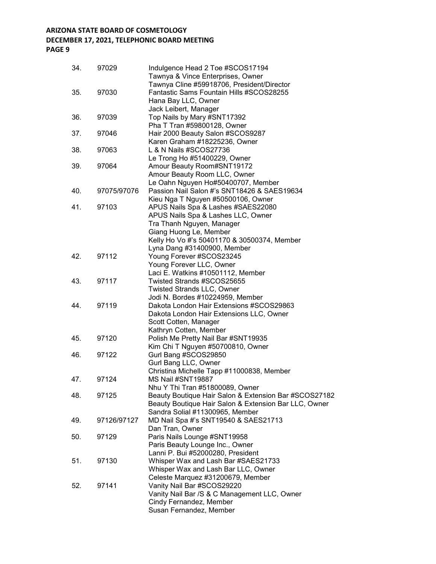# **DECEMBER 17, 2021, TELEPHONIC BOARD MEETING**

**PAGE 9**

| 34. | 97029       | Indulgence Head 2 Toe #SCOS17194<br>Tawnya & Vince Enterprises, Owner                  |
|-----|-------------|----------------------------------------------------------------------------------------|
| 35. | 97030       | Tawnya Cline #59918706, President/Director<br>Fantastic Sams Fountain Hills #SCOS28255 |
|     |             | Hana Bay LLC, Owner                                                                    |
|     |             | Jack Leibert, Manager                                                                  |
| 36. | 97039       | Top Nails by Mary #SNT17392                                                            |
|     |             | Pha T Tran #59800128, Owner                                                            |
| 37. | 97046       | Hair 2000 Beauty Salon #SCOS9287                                                       |
|     |             | Karen Graham #18225236, Owner                                                          |
| 38. | 97063       | L & N Nails #SCOS27736                                                                 |
|     | 97064       | Le Trong Ho #51400229, Owner                                                           |
| 39. |             | Amour Beauty Room#SNT19172                                                             |
|     |             | Amour Beauty Room LLC, Owner                                                           |
|     |             | Le Oahn Nguyen Ho#50400707, Member                                                     |
| 40. | 97075/97076 | Passion Nail Salon #'s SNT18426 & SAES19634                                            |
|     |             | Kieu Nga T Nguyen #50500106, Owner                                                     |
| 41. | 97103       | APUS Nails Spa & Lashes #SAES22080                                                     |
|     |             | APUS Nails Spa & Lashes LLC, Owner                                                     |
|     |             | Tra Thanh Nguyen, Manager                                                              |
|     |             | Giang Huong Le, Member                                                                 |
|     |             | Kelly Ho Vo #'s 50401170 & 30500374, Member                                            |
| 42. | 97112       | Lyna Dang #31400900, Member<br>Young Forever #SCOS23245                                |
|     |             | Young Forever LLC, Owner                                                               |
|     |             | Laci E. Watkins #10501112, Member                                                      |
| 43. | 97117       | Twisted Strands #SCOS25655                                                             |
|     |             | <b>Twisted Strands LLC, Owner</b>                                                      |
|     |             | Jodi N. Bordes #10224959, Member                                                       |
| 44. | 97119       | Dakota London Hair Extensions #SCOS29863                                               |
|     |             | Dakota London Hair Extensions LLC, Owner                                               |
|     |             | Scott Cotten, Manager                                                                  |
|     |             | Kathryn Cotten, Member                                                                 |
| 45. | 97120       | Polish Me Pretty Nail Bar #SNT19935                                                    |
|     |             | Kim Chi T Nguyen #50700810, Owner                                                      |
| 46. | 97122       | Gurl Bang #SCOS29850                                                                   |
|     |             | Gurl Bang LLC, Owner                                                                   |
|     |             | Christina Michelle Tapp #11000838, Member                                              |
| 47. | 97124       | MS Nail #SNT19887                                                                      |
|     |             | Nhu Y Thi Tran #51800089, Owner                                                        |
| 48. | 97125       | Beauty Boutique Hair Salon & Extension Bar #SCOS27182                                  |
|     |             | Beauty Boutique Hair Salon & Extension Bar LLC, Owner                                  |
|     |             | Sandra Solial #11300965, Member                                                        |
| 49. | 97126/97127 | MD Nail Spa #'s SNT19540 & SAES21713                                                   |
|     |             | Dan Tran, Owner                                                                        |
| 50. | 97129       | Paris Nails Lounge #SNT19958                                                           |
|     |             | Paris Beauty Lounge Inc., Owner                                                        |
|     |             | Lanni P. Bui #52000280, President                                                      |
| 51. | 97130       | Whisper Wax and Lash Bar #SAES21733                                                    |
|     |             | Whisper Wax and Lash Bar LLC, Owner                                                    |
|     |             | Celeste Marquez #31200679, Member                                                      |
| 52. | 97141       | Vanity Nail Bar #SCOS29220                                                             |
|     |             | Vanity Nail Bar / S & C Management LLC, Owner                                          |
|     |             | Cindy Fernandez, Member                                                                |
|     |             | Susan Fernandez, Member                                                                |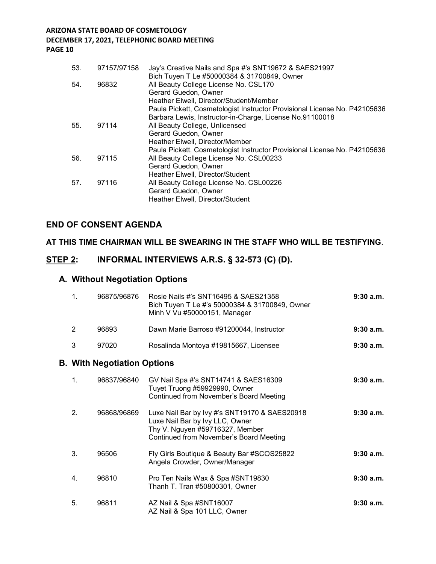| 53. | 97157/97158 | Jay's Creative Nails and Spa #'s SNT19672 & SAES21997<br>Bich Tuyen T Le #50000384 & 31700849, Owner     |
|-----|-------------|----------------------------------------------------------------------------------------------------------|
| 54. | 96832       | All Beauty College License No. CSL170<br>Gerard Guedon, Owner<br>Heather Elwell, Director/Student/Member |
|     |             | Paula Pickett, Cosmetologist Instructor Provisional License No. P42105636                                |
|     |             | Barbara Lewis, Instructor-in-Charge, License No.91100018                                                 |
| 55. | 97114       | All Beauty College, Unlicensed                                                                           |
|     |             | Gerard Guedon, Owner                                                                                     |
|     |             | Heather Elwell, Director/Member                                                                          |
|     |             | Paula Pickett, Cosmetologist Instructor Provisional License No. P42105636                                |
| 56. | 97115       | All Beauty College License No. CSL00233                                                                  |
|     |             | Gerard Guedon, Owner                                                                                     |
|     |             | Heather Elwell, Director/Student                                                                         |
| 57. | 97116       | All Beauty College License No. CSL00226                                                                  |
|     |             | Gerard Guedon, Owner                                                                                     |
|     |             | Heather Elwell, Director/Student                                                                         |

### **END OF CONSENT AGENDA**

### **AT THIS TIME CHAIRMAN WILL BE SWEARING IN THE STAFF WHO WILL BE TESTIFYING**.

### **STEP 2: INFORMAL INTERVIEWS A.R.S. § 32-573 (C) (D).**

## **A. Without Negotiation Options**

| 1.             | 96875/96876                        | Rosie Nails #'s SNT16495 & SAES21358<br>Bich Tuyen T Le #'s 50000384 & 31700849, Owner<br>Minh V Vu #50000151, Manager                                         | $9:30$ a.m. |
|----------------|------------------------------------|----------------------------------------------------------------------------------------------------------------------------------------------------------------|-------------|
| 2              | 96893                              | Dawn Marie Barroso #91200044, Instructor                                                                                                                       | 9:30a.m.    |
| 3              | 97020                              | Rosalinda Montoya #19815667, Licensee                                                                                                                          | $9:30$ a.m. |
|                | <b>B. With Negotiation Options</b> |                                                                                                                                                                |             |
| $\mathbf{1}$ . | 96837/96840                        | GV Nail Spa #'s SNT14741 & SAES16309<br>Tuyet Truong #59929990, Owner<br>Continued from November's Board Meeting                                               | 9:30a.m.    |
| 2.             | 96868/96869                        | Luxe Nail Bar by Ivy #'s SNT19170 & SAES20918<br>Luxe Nail Bar by Ivy LLC, Owner<br>Thy V. Nguyen #59716327, Member<br>Continued from November's Board Meeting | 9:30a.m.    |
| 3.             | 96506                              | Fly Girls Boutique & Beauty Bar #SCOS25822<br>Angela Crowder, Owner/Manager                                                                                    | 9:30a.m.    |
| 4.             | 96810                              | Pro Ten Nails Wax & Spa #SNT19830<br>Thanh T. Tran #50800301, Owner                                                                                            | 9:30a.m.    |
| 5.             | 96811                              | AZ Nail & Spa #SNT16007<br>AZ Nail & Spa 101 LLC, Owner                                                                                                        | 9:30a.m.    |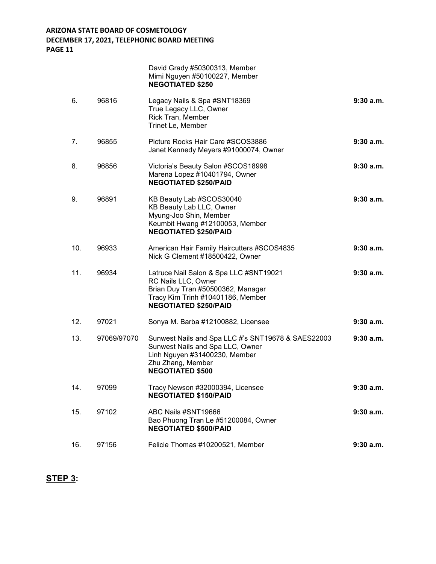|     |             | David Grady #50300313, Member<br>Mimi Nguyen #50100227, Member<br><b>NEGOTIATED \$250</b>                                                                               |             |
|-----|-------------|-------------------------------------------------------------------------------------------------------------------------------------------------------------------------|-------------|
| 6.  | 96816       | Legacy Nails & Spa #SNT18369<br>True Legacy LLC, Owner<br>Rick Tran, Member<br>Trinet Le, Member                                                                        | 9:30a.m.    |
| 7.  | 96855       | Picture Rocks Hair Care #SCOS3886<br>Janet Kennedy Meyers #91000074, Owner                                                                                              | 9:30a.m.    |
| 8.  | 96856       | Victoria's Beauty Salon #SCOS18998<br>Marena Lopez #10401794, Owner<br><b>NEGOTIATED \$250/PAID</b>                                                                     | 9:30a.m.    |
| 9.  | 96891       | KB Beauty Lab #SCOS30040<br>KB Beauty Lab LLC, Owner<br>Myung-Joo Shin, Member<br>Keumbit Hwang #12100053, Member<br><b>NEGOTIATED \$250/PAID</b>                       | 9:30a.m.    |
| 10. | 96933       | American Hair Family Haircutters #SCOS4835<br>Nick G Clement #18500422, Owner                                                                                           | 9:30a.m.    |
| 11. | 96934       | Latruce Nail Salon & Spa LLC #SNT19021<br>RC Nails LLC, Owner<br>Brian Duy Tran #50500362, Manager<br>Tracy Kim Trinh #10401186, Member<br><b>NEGOTIATED \$250/PAID</b> | 9:30a.m.    |
| 12. | 97021       | Sonya M. Barba #12100882, Licensee                                                                                                                                      | 9:30a.m.    |
| 13. | 97069/97070 | Sunwest Nails and Spa LLC #'s SNT19678 & SAES22003<br>Sunwest Nails and Spa LLC, Owner<br>Linh Nguyen #31400230, Member<br>Zhu Zhang, Member<br><b>NEGOTIATED \$500</b> | $9:30$ a.m. |
| 14. | 97099       | Tracy Newson #32000394, Licensee<br><b>NEGOTIATED \$150/PAID</b>                                                                                                        | 9:30a.m.    |
| 15. | 97102       | ABC Nails #SNT19666<br>Bao Phuong Tran Le #51200084, Owner<br><b>NEGOTIATED \$500/PAID</b>                                                                              | 9:30a.m.    |
| 16. | 97156       | Felicie Thomas #10200521, Member                                                                                                                                        | 9:30a.m.    |

# **STEP 3:**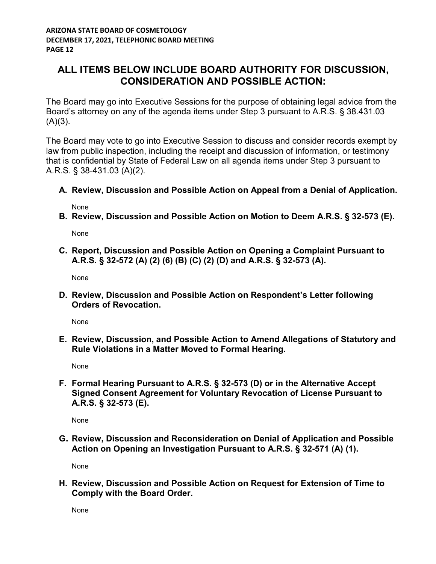# **ALL ITEMS BELOW INCLUDE BOARD AUTHORITY FOR DISCUSSION, CONSIDERATION AND POSSIBLE ACTION:**

The Board may go into Executive Sessions for the purpose of obtaining legal advice from the Board's attorney on any of the agenda items under Step 3 pursuant to A.R.S. § 38.431.03  $(A)(3)$ .

The Board may vote to go into Executive Session to discuss and consider records exempt by law from public inspection, including the receipt and discussion of information, or testimony that is confidential by State of Federal Law on all agenda items under Step 3 pursuant to A.R.S. § 38-431.03 (A)(2).

**A. Review, Discussion and Possible Action on Appeal from a Denial of Application.**

None

**B. Review, Discussion and Possible Action on Motion to Deem A.R.S. § 32-573 (E).**

None

**C. Report, Discussion and Possible Action on Opening a Complaint Pursuant to A.R.S. § 32-572 (A) (2) (6) (B) (C) (2) (D) and A.R.S. § 32-573 (A).**

None

**D. Review, Discussion and Possible Action on Respondent's Letter following Orders of Revocation.**

None

**E. Review, Discussion, and Possible Action to Amend Allegations of Statutory and Rule Violations in a Matter Moved to Formal Hearing.**

None

**F. Formal Hearing Pursuant to A.R.S. § 32-573 (D) or in the Alternative Accept Signed Consent Agreement for Voluntary Revocation of License Pursuant to A.R.S. § 32-573 (E).**

None

**G. Review, Discussion and Reconsideration on Denial of Application and Possible Action on Opening an Investigation Pursuant to A.R.S. § 32-571 (A) (1).**

None

**H. Review, Discussion and Possible Action on Request for Extension of Time to Comply with the Board Order.**

None